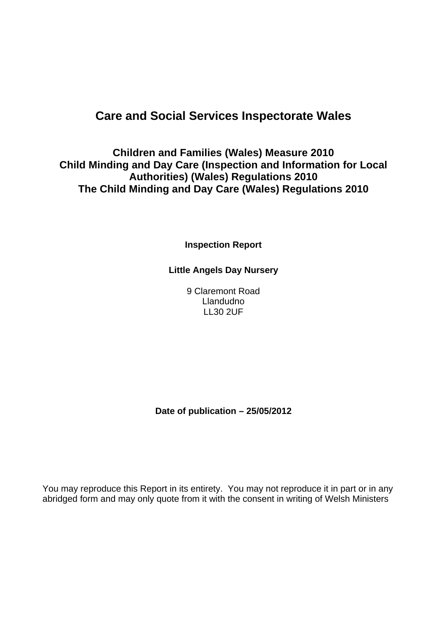### **Care and Social Services Inspectorate Wales**

### **Children and Families (Wales) Measure 2010 Child Minding and Day Care (Inspection and Information for Local Authorities) (Wales) Regulations 2010 The Child Minding and Day Care (Wales) Regulations 2010**

**Inspection Report**

**Little Angels Day Nursery**

9 Claremont Road Llandudno LL30 2UF

**Date of publication – 25/05/2012**

You may reproduce this Report in its entirety. You may not reproduce it in part or in any abridged form and may only quote from it with the consent in writing of Welsh Ministers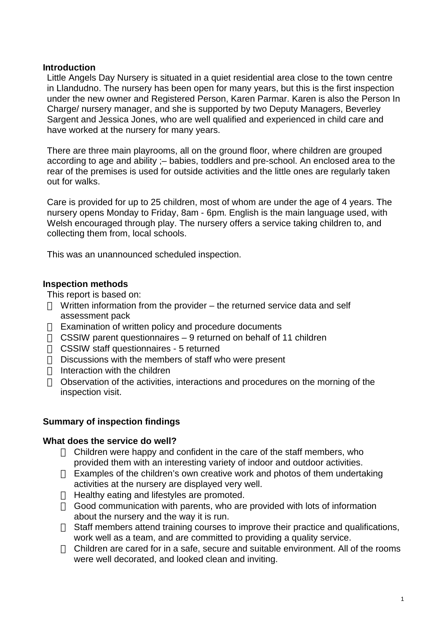#### **Introduction**

Little Angels Day Nursery is situated in a quiet residential area close to the town centre in Llandudno. The nursery has been open for many years, but this is the first inspection under the new owner and Registered Person, Karen Parmar. Karen is also the Person In Charge/ nursery manager, and she is supported by two Deputy Managers, Beverley Sargent and Jessica Jones, who are well qualified and experienced in child care and have worked at the nursery for many years.

There are three main playrooms, all on the ground floor, where children are grouped according to age and ability ;– babies, toddlers and pre-school. An enclosed area to the rear of the premises is used for outside activities and the little ones are regularly taken out for walks.

Care is provided for up to 25 children, most of whom are under the age of 4 years. The nursery opens Monday to Friday, 8am - 6pm. English is the main language used, with Welsh encouraged through play. The nursery offers a service taking children to, and collecting them from, local schools.

This was an unannounced scheduled inspection.

#### **Inspection methods**

This report is based on:

Written information from the provider – the returned service data and self assessment pack

Examination of written policy and procedure documents

CSSIW parent questionnaires – 9 returned on behalf of 11 children

CSSIW staff questionnaires - 5 returned

Discussions with the members of staff who were present

Interaction with the children

Observation of the activities, interactions and procedures on the morning of the inspection visit.

#### **Summary of inspection findings**

#### **What does the service do well?**

Children were happy and confident in the care of the staff members, who provided them with an interesting variety of indoor and outdoor activities. Examples of the children's own creative work and photos of them undertaking activities at the nursery are displayed very well.

Healthy eating and lifestyles are promoted.

Good communication with parents, who are provided with lots of information about the nursery and the way it is run.

Staff members attend training courses to improve their practice and qualifications, work well as a team, and are committed to providing a quality service.

Children are cared for in a safe, secure and suitable environment. All of the rooms were well decorated, and looked clean and inviting.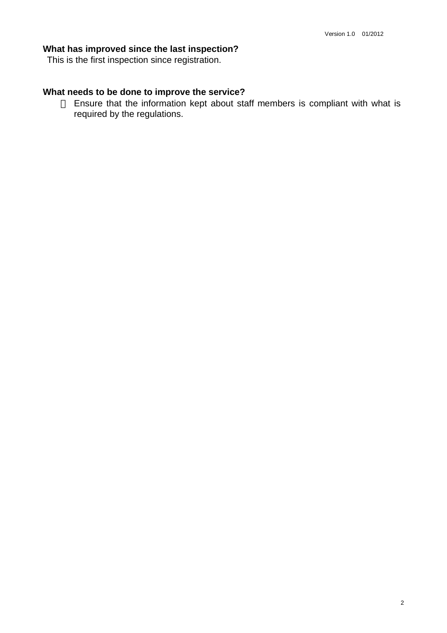#### **What has improved since the last inspection?**

This is the first inspection since registration.

#### **What needs to be done to improve the service?**

Ensure that the information kept about staff members is compliant with what is required by the regulations.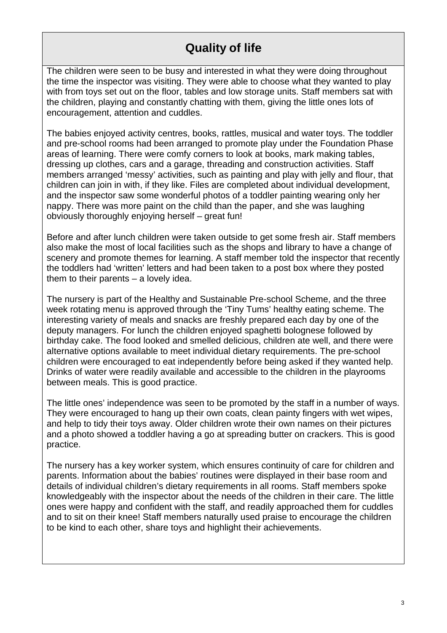# **Quality of life**

The children were seen to be busy and interested in what they were doing throughout the time the inspector was visiting. They were able to choose what they wanted to play with from toys set out on the floor, tables and low storage units. Staff members sat with the children, playing and constantly chatting with them, giving the little ones lots of encouragement, attention and cuddles.

The babies enjoyed activity centres, books, rattles, musical and water toys. The toddler and pre-school rooms had been arranged to promote play under the Foundation Phase areas of learning. There were comfy corners to look at books, mark making tables, dressing up clothes, cars and a garage, threading and construction activities. Staff members arranged 'messy' activities, such as painting and play with jelly and flour, that children can join in with, if they like. Files are completed about individual development, and the inspector saw some wonderful photos of a toddler painting wearing only her nappy. There was more paint on the child than the paper, and she was laughing obviously thoroughly enjoying herself – great fun!

Before and after lunch children were taken outside to get some fresh air. Staff members also make the most of local facilities such as the shops and library to have a change of scenery and promote themes for learning. A staff member told the inspector that recently the toddlers had 'written' letters and had been taken to a post box where they posted them to their parents – a lovely idea.

The nursery is part of the Healthy and Sustainable Pre-school Scheme, and the three week rotating menu is approved through the 'Tiny Tums' healthy eating scheme. The interesting variety of meals and snacks are freshly prepared each day by one of the deputy managers. For lunch the children enjoyed spaghetti bolognese followed by birthday cake. The food looked and smelled delicious, children ate well, and there were alternative options available to meet individual dietary requirements. The pre-school children were encouraged to eat independently before being asked if they wanted help. Drinks of water were readily available and accessible to the children in the playrooms between meals. This is good practice.

The little ones' independence was seen to be promoted by the staff in a number of ways. They were encouraged to hang up their own coats, clean painty fingers with wet wipes, and help to tidy their toys away. Older children wrote their own names on their pictures and a photo showed a toddler having a go at spreading butter on crackers. This is good practice.

The nursery has a key worker system, which ensures continuity of care for children and parents. Information about the babies' routines were displayed in their base room and details of individual children's dietary requirements in all rooms. Staff members spoke knowledgeably with the inspector about the needs of the children in their care. The little ones were happy and confident with the staff, and readily approached them for cuddles and to sit on their knee! Staff members naturally used praise to encourage the children to be kind to each other, share toys and highlight their achievements.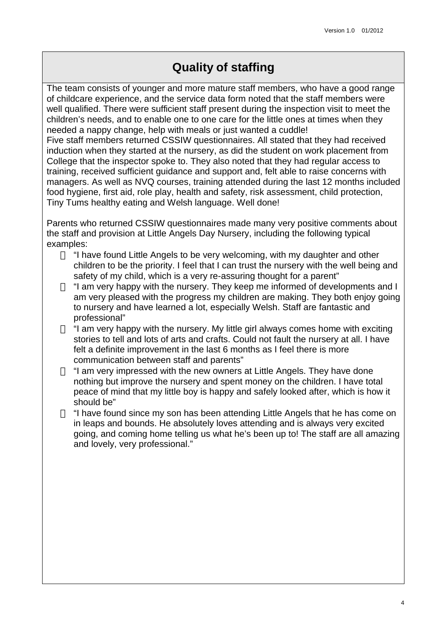## **Quality of staffing**

The team consists of younger and more mature staff members, who have a good range of childcare experience, and the service data form noted that the staff members were well qualified. There were sufficient staff present during the inspection visit to meet the children's needs, and to enable one to one care for the little ones at times when they needed a nappy change, help with meals or just wanted a cuddle!

Five staff members returned CSSIW questionnaires. All stated that they had received induction when they started at the nursery, as did the student on work placement from College that the inspector spoke to. They also noted that they had regular access to training, received sufficient guidance and support and, felt able to raise concerns with managers. As well as NVQ courses, training attended during the last 12 months included food hygiene, first aid, role play, health and safety, risk assessment, child protection, Tiny Tums healthy eating and Welsh language. Well done!

Parents who returned CSSIW questionnaires made many very positive comments about the staff and provision at Little Angels Day Nursery, including the following typical examples:

"I have found Little Angels to be very welcoming, with my daughter and other children to be the priority. I feel that I can trust the nursery with the well being and safety of my child, which is a very re-assuring thought for a parent"

"I am very happy with the nursery. They keep me informed of developments and I am very pleased with the progress my children are making. They both enjoy going to nursery and have learned a lot, especially Welsh. Staff are fantastic and professional"

"I am very happy with the nursery. My little girl always comes home with exciting stories to tell and lots of arts and crafts. Could not fault the nursery at all. I have felt a definite improvement in the last 6 months as I feel there is more communication between staff and parents"

"I am very impressed with the new owners at Little Angels. They have done nothing but improve the nursery and spent money on the children. I have total peace of mind that my little boy is happy and safely looked after, which is how it should be"

"I have found since my son has been attending Little Angels that he has come on in leaps and bounds. He absolutely loves attending and is always very excited going, and coming home telling us what he's been up to! The staff are all amazing and lovely, very professional."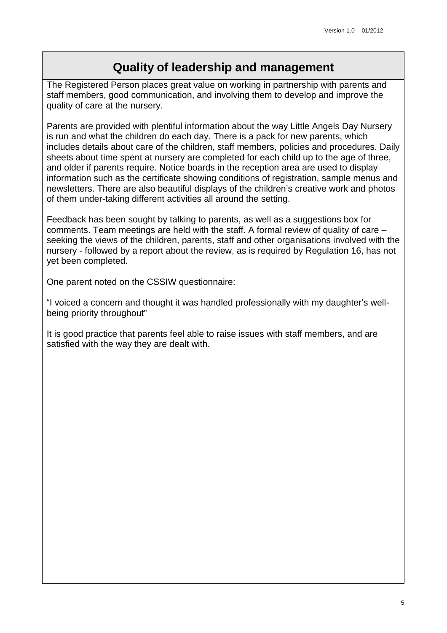### **Quality of leadership and management**

The Registered Person places great value on working in partnership with parents and staff members, good communication, and involving them to develop and improve the quality of care at the nursery.

Parents are provided with plentiful information about the way Little Angels Day Nursery is run and what the children do each day. There is a pack for new parents, which includes details about care of the children, staff members, policies and procedures. Daily sheets about time spent at nursery are completed for each child up to the age of three, and older if parents require. Notice boards in the reception area are used to display information such as the certificate showing conditions of registration, sample menus and newsletters. There are also beautiful displays of the children's creative work and photos of them under-taking different activities all around the setting.

Feedback has been sought by talking to parents, as well as a suggestions box for comments. Team meetings are held with the staff. A formal review of quality of care – seeking the views of the children, parents, staff and other organisations involved with the nursery - followed by a report about the review, as is required by Regulation 16, has not yet been completed.

One parent noted on the CSSIW questionnaire:

"I voiced a concern and thought it was handled professionally with my daughter's wellbeing priority throughout"

It is good practice that parents feel able to raise issues with staff members, and are satisfied with the way they are dealt with.